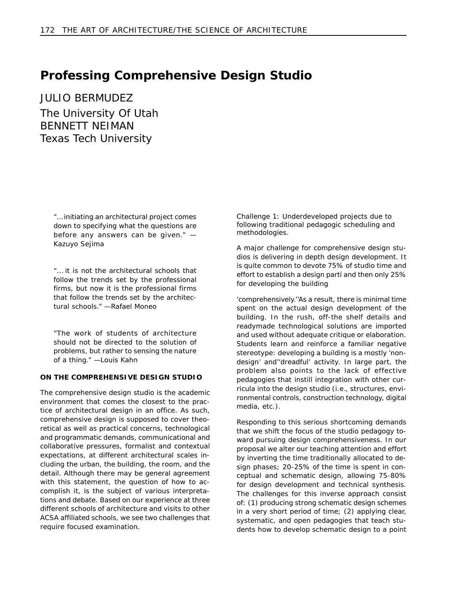# **Professing Comprehensive Design Studio**

JULIO BERMUDEZ The University Of Utah BENNETT NEIMAN Texas Tech University

> "… initiating an architectural project comes down to specifying what the questions are before any answers can be given." — Kazuyo Sejima

> "… it is not the architectural schools that follow the trends set by the professional firms, but now it is the professional firms that follow the trends set by the architectural schools." —Rafael Moneo

> "The work of students of architecture should not be directed to the solution of problems, but rather to sensing the nature of a thing." —Louis Kahn

#### **ON THE COMPREHENSIVE DESIGN STUDIO**

The comprehensive design studio is the academic environment that comes the closest to the practice of architectural design in an office. As such, comprehensive design is supposed to cover theoretical as well as practical concerns, technological and programmatic demands, communicational and collaborative pressures, formalist and contextual expectations, at different architectural scales including the urban, the building, the room, and the detail. Although there may be general agreement with this statement, the question of how to accomplish it, is the subject of various interpretations and debate. Based on our experience at three different schools of architecture and visits to other ACSA affiliated schools, we see two challenges that require focused examination.

*Challenge 1: Underdeveloped projects due to following traditional pedagogic scheduling and methodologies.*

A major challenge for comprehensive design studios is delivering in depth design development. It is quite common to devote 75% of studio time and effort to establish a design partí and then only 25% for developing the building

'comprehensively.''As a result, there is minimal time spent on the actual design development of the building. In the rush, off-the shelf details and readymade technological solutions are imported and used without adequate critique or elaboration. Students learn and reinforce a familiar negative stereotype: developing a building is a mostly 'nondesign' and''dreadful' activity. In large part, the problem also points to the lack of effective pedagogies that instill integration with other curricula into the design studio (i.e., structures, environmental controls, construction technology, digital media, etc.).

Responding to this serious shortcoming demands that we shift the focus of the studio pedagogy toward pursuing design comprehensiveness. In our proposal we alter our teaching attention and effort by inverting the time traditionally allocated to design phases; 20-25% of the time is spent in conceptual and schematic design, allowing 75-80% for design development and technical synthesis. The challenges for this inverse approach consist of: (1) producing strong schematic design schemes in a very short period of time; (2) applying clear, systematic, and open pedagogies that teach students how to develop schematic design to a point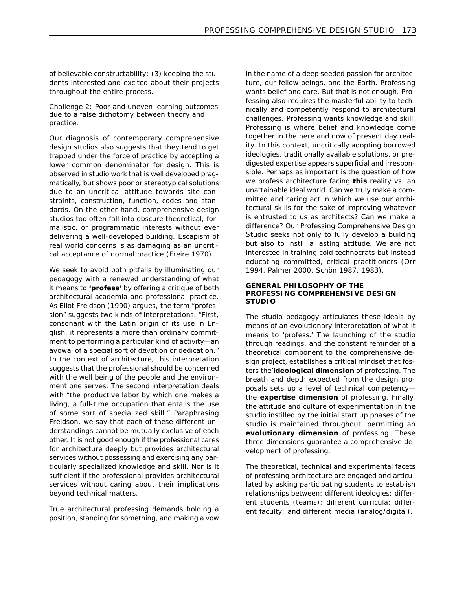of believable constructability; (3) keeping the students interested and excited about their projects throughout the entire process.

## *Challenge 2: Poor and uneven learning outcomes due to a false dichotomy between theory and practice.*

Our diagnosis of contemporary comprehensive design studios also suggests that they tend to get trapped under the force of practice by accepting a lower common denominator for design. This is observed in studio work that is well developed pragmatically, but shows poor or stereotypical solutions due to an uncritical attitude towards site constraints, construction, function, codes and standards. On the other hand, comprehensive design studios too often fall into obscure theoretical, formalistic, or programmatic interests without ever delivering a well-developed building. Escapism of real world concerns is as damaging as an uncritical acceptance of normal practice (Freire 1970).

We seek to avoid both pitfalls by illuminating our pedagogy with a renewed understanding of what it means to *'profess'* by offering a critique of both architectural academia and professional practice. As Eliot Freidson (1990) argues, the term "profession" suggests two kinds of interpretations. *"First, consonant with the Latin origin of its use in English, it represents a more than ordinary commitment to performing a particular kind of activity—an avowal of a special sort of devotion or dedication."* In the context of architecture, this interpretation suggests that the professional should be concerned with the well being of the people and the environment one serves. The second interpretation deals with *"the productive labor by which one makes a living, a full-time occupation that entails the use of some sort of specialized skill."* Paraphrasing Freidson, we say that each of these different understandings cannot be mutually exclusive of each other. It is not good enough if the professional cares for architecture deeply but provides architectural services without possessing and exercising any particularly specialized knowledge and skill. Nor is it sufficient if the professional provides architectural services without caring about their implications beyond technical matters.

True architectural professing demands holding a position, standing for something, and making a vow in the name of a deep seeded passion for architecture, our fellow beings, and the Earth. *Professing wants belief and care*. But that is not enough. Professing also requires the masterful ability to technically and competently respond to architectural challenges. *Professing wants knowledge and skill*. Professing is where belief and knowledge come together in the here and now of present day reality. In this context, uncritically adopting borrowed ideologies, traditionally available solutions, or predigested expertise appears superficial and irresponsible. Perhaps as important is the question of how we profess architecture facing *this* reality vs. an unattainable ideal world. Can we truly make a committed and caring act in which we use our architectural skills for the sake of improving whatever is entrusted to us as architects? Can we make a difference? Our *Professing Comprehensive Design Studio* seeks not only to fully develop a building but also to instill a lasting attitude. We are not interested in training cold technocrats but instead educating committed, critical practitioners (Orr 1994, Palmer 2000, Schön 1987, 1983).

## **GENERAL PHILOSOPHY OF THE PROFESSING COMPREHENSIVE DESIGN STUDIO**

The studio pedagogy articulates these ideals by means of an evolutionary interpretation of what it means to 'profess.' The launching of the studio through readings, and the constant reminder of a theoretical component to the comprehensive design project, establishes a critical mindset that fosters the'*ideological dimension* of professing. The breath and depth expected from the design proposals sets up a level of technical competency the *expertise dimension* of professing. Finally, the attitude and culture of experimentation in the studio instilled by the initial start up phases of the studio is maintained throughout, permitting an *evolutionary dimension* of professing. These three dimensions guarantee a comprehensive development of professing.

The theoretical, technical and experimental facets of professing architecture are engaged and articulated by asking participating students to establish relationships between: different ideologies; different students (teams); different curricula; different faculty; and different media (analog/digital).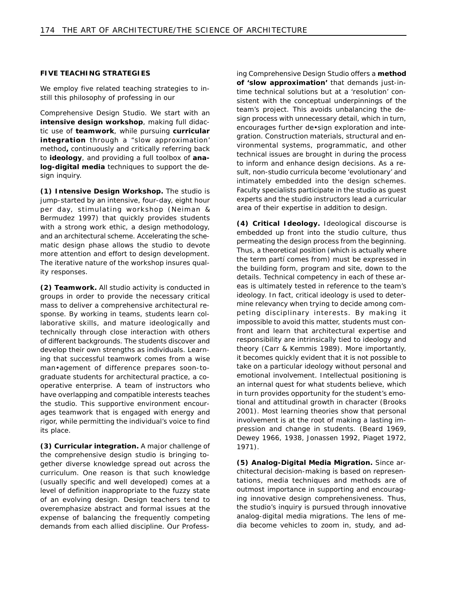# **FIVE TEACHING STRATEGIES**

We employ five related teaching strategies to instill this philosophy of professing in our

*Comprehensive Design Studio*. We start with an *intensive design workshop*, making full didactic use of *teamwork*, while pursuing *curricular integration* through a "slow approximation' method*,* continuously and critically referring back to *ideology*, and providing a full toolbox of *analog-digital media* techniques to support the design inquiry.

**(1) Intensive Design Workshop.** The studio is jump-started by an intensive, four-day, eight hour per day, stimulating workshop (Neiman & Bermudez 1997) that quickly provides students with a strong work ethic, a design methodology, and an architectural scheme. Accelerating the schematic design phase allows the studio to devote more attention and effort to design development. The iterative nature of the workshop insures quality responses.

**(2) Teamwork.** All studio activity is conducted in groups in order to provide the necessary critical mass to deliver a comprehensive architectural response. By working in teams, students learn collaborative skills, and mature ideologically and technically through close interaction with others of different backgrounds. The students discover and develop their own strengths as individuals. Learning that successful teamwork comes from a wise man•agement of difference prepares soon-tograduate students for architectural practice, a cooperative enterprise. A team of instructors who have overlapping and compatible interests teaches the studio. This supportive environment encourages teamwork that is engaged with energy and rigor, while permitting the individual's voice to find its place.

**(3) Curricular integration.** A major challenge of the comprehensive design studio is bringing together diverse knowledge spread out across the curriculum. One reason is that such knowledge (usually specific and well developed) comes at a level of definition inappropriate to the fuzzy state of an evolving design. Design teachers tend to overemphasize abstract and formal issues at the expense of balancing the frequently competing demands from each allied discipline. Our *Profess-*

*ing Comprehensive Design Studio* offers a *method of 'slow approximation'* that demands just-intime technical solutions but at a 'resolution' consistent with the conceptual underpinnings of the team's project. This avoids unbalancing the design process with unnecessary detail, which in turn, encourages further de•sign exploration and integration. Construction materials, structural and environmental systems, programmatic, and other technical issues are brought in during the process to inform and enhance design decisions. As a result, non-studio curricula become 'evolutionary' and intimately embedded into the design schemes. Faculty specialists participate in the studio as guest experts and the studio instructors lead a curricular area of their expertise in addition to design.

**(4) Critical Ideology.** Ideological discourse is embedded up front into the studio culture, thus permeating the design process from the beginning. Thus, a theoretical position (which is actually where the term *partí* comes from) must be expressed in the building form, program and site, down to the details. Technical competency in each of these areas is ultimately tested in reference to the team's ideology. In fact, critical ideology is used to determine relevancy when trying to decide among competing disciplinary interests. By making it impossible to avoid this matter, students must confront and learn that architectural expertise and responsibility are intrinsically tied to ideology and theory (Carr & Kemmis 1989). More importantly, it becomes quickly evident that it is not possible to take on a particular ideology without personal and emotional involvement. Intellectual positioning is an internal quest for what students believe, which in turn provides opportunity for the student's emotional and attitudinal growth in character (Brooks 2001). Most learning theories show that personal involvement is at the root of making a lasting impression and change in students. (Beard 1969, Dewey 1966, 1938, Jonassen 1992, Piaget 1972, 1971).

**(5) Analog-Digital Media Migration.** Since architectural decision-making is based on representations, media techniques and methods are of outmost importance in supporting and encouraging innovative design comprehensiveness. Thus, the studio's inquiry is pursued through innovative analog-digital media migrations. The lens of media become vehicles to zoom in, study, and ad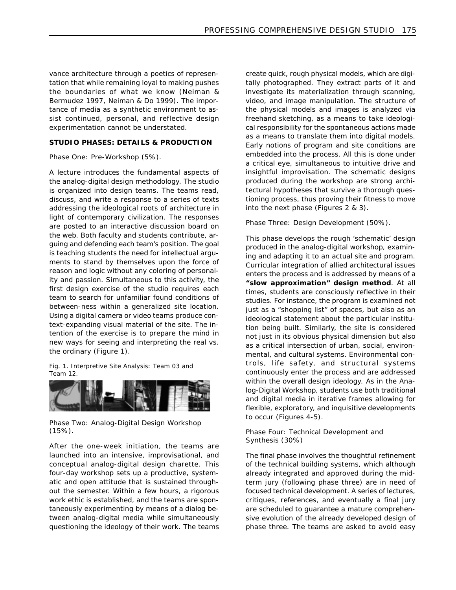vance architecture through a poetics of representation that while remaining loyal to making pushes the boundaries of what we know (Neiman & Bermudez 1997, Neiman & Do 1999). The importance of media as a synthetic environment to assist continued, personal, and reflective design experimentation cannot be understated.

## **STUDIO PHASES: DETAILS & PRODUCTION**

## *Phase One: Pre-Workshop (5%).*

A lecture introduces the fundamental aspects of the analog-digital design methodology. The studio is organized into design teams. The teams read, discuss, and write a response to a series of texts addressing the ideological roots of architecture in light of contemporary civilization. The responses are posted to an interactive discussion board on the web. Both faculty and students contribute, arguing and defending each team's position. The goal is teaching students the need for intellectual arguments to stand by themselves upon the force of reason and logic without any coloring of personality and passion. Simultaneous to this activity, the first design exercise of the studio requires each team to search for unfamiliar found conditions of between-ness within a generalized site location. Using a digital camera or video teams produce context-expanding visual material of the site. The intention of the exercise is to prepare the mind in new ways for seeing and interpreting the real vs. the ordinary (Figure 1).

#### *Fig. 1. Interpretive Site Analysis: Team 03 and Team 12.*



# *Phase Two: Analog-Digital Design Workshop (15%).*

After the one-week initiation, the teams are launched into an intensive, improvisational, and conceptual analog-digital design charette. This four-day workshop sets up a productive, systematic and open attitude that is sustained throughout the semester. Within a few hours, a rigorous work ethic is established, and the teams are spontaneously experimenting by means of a dialog between analog-digital media while simultaneously questioning the ideology of their work. The teams

create quick, rough physical models, which are digitally photographed. They extract parts of it and investigate its materialization through scanning, video, and image manipulation. The structure of the physical models and images is analyzed via freehand sketching, as a means to take ideological responsibility for the spontaneous actions made as a means to translate them into digital models. Early notions of program and site conditions are embedded into the process. All this is done under a critical eye, simultaneous to intuitive drive and insightful improvisation. The schematic designs produced during the workshop are strong architectural hypotheses that survive a thorough questioning process, thus proving their fitness to move into the next phase (Figures 2 & 3).

# *Phase Three: Design Development (50%).*

This phase develops the rough 'schematic' design produced in the analog-digital workshop, examining and adapting it to an actual site and program. Curricular integration of allied architectural issues enters the process and is addressed by means of a *"slow approximation" design method*. At all times, students are consciously reflective in their studies. For instance, the program is examined not just as a "shopping list" of spaces, but also as an ideological statement about the particular institution being built. Similarly, the site is considered not just in its obvious physical dimension but also as a critical intersection of urban, social, environmental, and cultural systems. Environmental controls, life safety, and structural systems continuously enter the process and are addressed within the overall design ideology. As in the *Analog-Digital Workshop*, students use both traditional and digital media in iterative frames allowing for flexible, exploratory, and inquisitive developments to occur (Figures 4-5).

# *Phase Four: Technical Development and Synthesis (30%)*

The final phase involves the thoughtful refinement of the technical building systems, which although already integrated and approved during the midterm jury (following phase three) are in need of focused technical development. A series of lectures, critiques, references, and eventually a final jury are scheduled to guarantee a mature comprehensive evolution of the already developed design of phase three. The teams are asked to avoid easy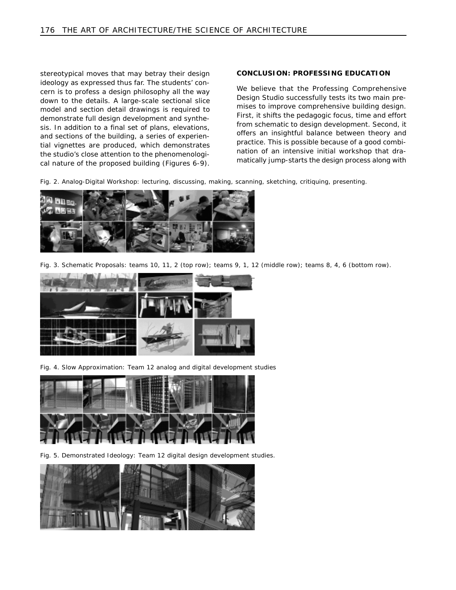stereotypical moves that may betray their design ideology as expressed thus far. The students' concern is to *profess* a design philosophy all the way down to the details. A large-scale sectional slice model and section detail drawings is required to demonstrate full design development and synthesis. In addition to a final set of plans, elevations, and sections of the building, a series of experiential vignettes are produced, which demonstrates the studio's close attention to the phenomenological nature of the proposed building (Figures 6-9).

# **CONCLUSION: PROFESSING EDUCATION**

We believe that the *Professing Comprehensive Design Studio* successfully tests its two main premises to improve comprehensive building design. First, it shifts the pedagogic focus, time and effort from schematic to design development. Second, it offers an insightful balance between theory and practice*.* This is possible because of a good combination of an intensive initial workshop that dramatically jump-starts the design process along with

*Fig. 2. Analog-Digital Workshop: lecturing, discussing, making, scanning, sketching, critiquing, presenting.*



*Fig. 3. Schematic Proposals: teams 10, 11, 2 (top row); teams 9, 1, 12 (middle row); teams 8, 4, 6 (bottom row).*



*Fig. 4. Slow Approximation: Team 12 analog and digital development studies*



*Fig. 5. Demonstrated Ideology: Team 12 digital design development studies.*

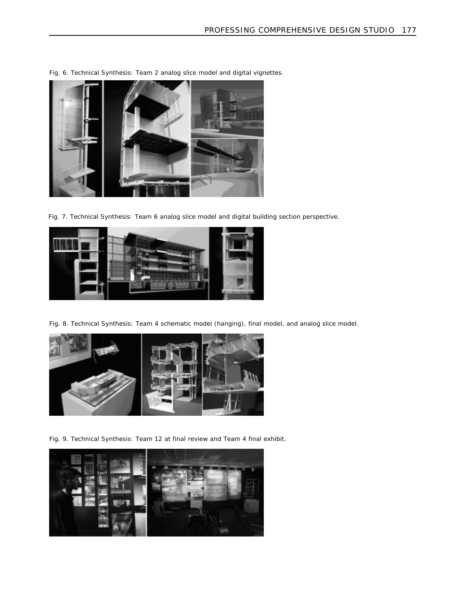

*Fig. 6. Technical Synthesis: Team 2 analog slice model and digital vignettes.*

*Fig. 7. Technical Synthesis: Team 6 analog slice model and digital building section perspective.*



*Fig. 8. Technical Synthesis: Team 4 schematic model (hanging), final model, and analog slice model.*



*Fig. 9. Technical Synthesis: Team 12 at final review and Team 4 final exhibit.*

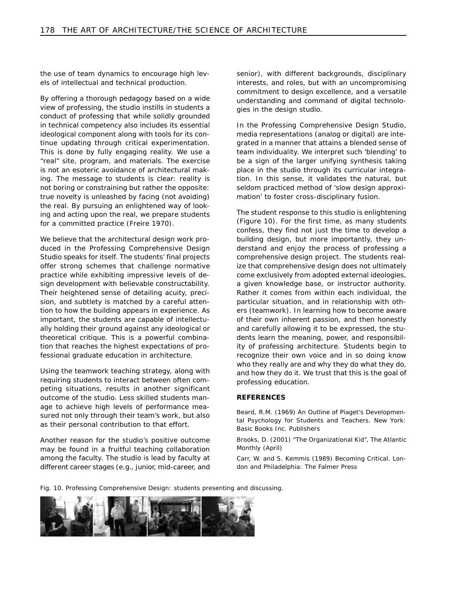the use of team dynamics to encourage high levels of intellectual and technical production.

By offering a thorough pedagogy based on a wide view of professing, the studio instills in students a conduct of professing that while solidly grounded in technical competency also includes its essential ideological component along with tools for its continue updating through critical experimentation. This is done by fully engaging reality. We use a "real" site, program, and materials. The exercise is not an esoteric avoidance of architectural making. The message to students is clear: reality is not boring or constraining but rather the opposite: true novelty is unleashed by facing (not avoiding) the real. By pursuing an enlightened way of looking and acting upon the real, we prepare students for a committed practice (Freire 1970).

We believe that the architectural design work produced in the *Professing Comprehensive Design Studio* speaks for itself. The students' final projects offer strong schemes that challenge normative practice while exhibiting impressive levels of design development with believable constructability. Their heightened sense of detailing acuity, precision, and subtlety is matched by a careful attention to how the building appears in experience. As important, the students are capable of intellectually holding their ground against any ideological or theoretical critique. This is a powerful combination that reaches the highest expectations of professional graduate education in architecture.

Using the teamwork teaching strategy, along with requiring students to interact between often competing situations, results in another significant outcome of the studio. Less skilled students manage to achieve high levels of performance measured not only through their team's work, but also as their personal contribution to that effort.

Another reason for the studio's positive outcome may be found in a fruitful teaching collaboration among the faculty. The studio is lead by faculty at different career stages (e.g., junior, mid-career, and

senior), with different backgrounds, disciplinary interests, and roles, but with an uncompromising commitment to design excellence, and a versatile understanding and command of digital technologies in the design studio.

In the *Professing Comprehensive Design Studio*, media representations (analog or digital) are integrated in a manner that attains a blended sense of team individuality. We interpret such 'blending' to be a sign of the larger unifying synthesis taking place in the studio through its curricular integration. In this sense, it validates the natural, but seldom practiced method of 'slow design approximation' to foster cross-disciplinary fusion.

The student response to this studio is enlightening (Figure 10). For the first time, as many students confess, they find not just the time to develop a building design, but more importantly, they understand and enjoy the process of *professing* a comprehensive design project. The students realize that comprehensive design does not ultimately come exclusively from adopted external ideologies, a given knowledge base, or instructor authority. Rather it comes from within each individual, the particular situation, and in relationship with others (teamwork). In learning how to become aware of their own inherent passion, and then honestly and carefully allowing it to be expressed, the students learn the meaning, power, and responsibility of *professing* architecture. Students begin to recognize their own voice and in so doing know who they really are and why they do what they do, and how they do it. We trust that this is the goal of *professing* education.

## **REFERENCES**

Beard, R.M. (1969) *An Outline of Piaget's Developmental Psychology for Students and Teachers*. New York: Basic Books Inc. Publishers

Brooks, D. (2001) "The Organizational Kid", *The Atlantic Monthly* (April)

Carr, W. and S. Kemmis (1989) *Becoming Critical*. London and Philadelphia: The Falmer Press

*Fig. 10. Professing Comprehensive Design: students presenting and discussing.*